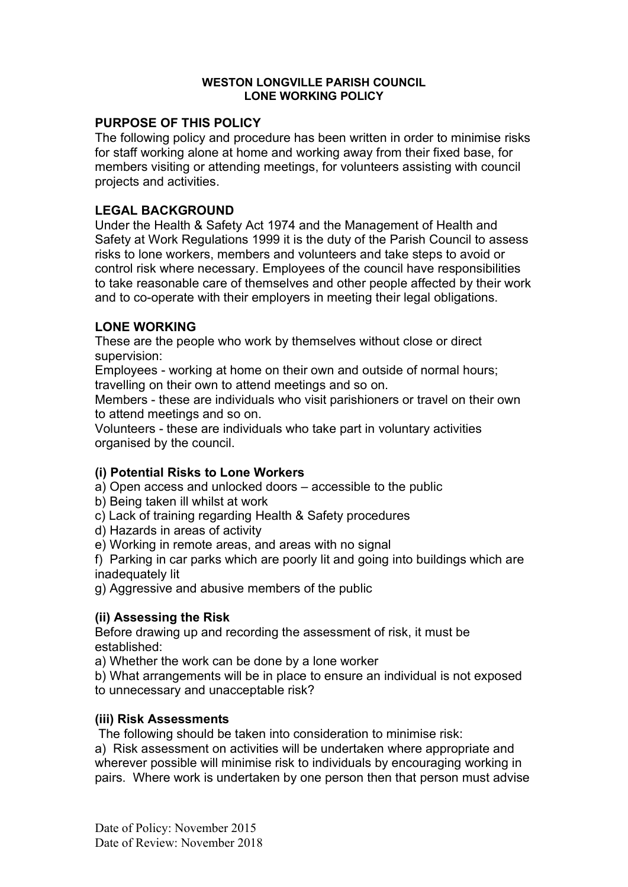#### WESTON LONGVILLE PARISH COUNCIL LONE WORKING POLICY

## PURPOSE OF THIS POLICY

The following policy and procedure has been written in order to minimise risks for staff working alone at home and working away from their fixed base, for members visiting or attending meetings, for volunteers assisting with council projects and activities.

## LEGAL BACKGROUND

Under the Health & Safety Act 1974 and the Management of Health and Safety at Work Regulations 1999 it is the duty of the Parish Council to assess risks to lone workers, members and volunteers and take steps to avoid or control risk where necessary. Employees of the council have responsibilities to take reasonable care of themselves and other people affected by their work and to co-operate with their employers in meeting their legal obligations.

## LONE WORKING

These are the people who work by themselves without close or direct supervision:

Employees - working at home on their own and outside of normal hours; travelling on their own to attend meetings and so on.

Members - these are individuals who visit parishioners or travel on their own to attend meetings and so on.

Volunteers - these are individuals who take part in voluntary activities organised by the council.

## (i) Potential Risks to Lone Workers

a) Open access and unlocked doors – accessible to the public

- b) Being taken ill whilst at work
- c) Lack of training regarding Health & Safety procedures
- d) Hazards in areas of activity
- e) Working in remote areas, and areas with no signal

f) Parking in car parks which are poorly lit and going into buildings which are inadequately lit

g) Aggressive and abusive members of the public

### (ii) Assessing the Risk

Before drawing up and recording the assessment of risk, it must be established:

a) Whether the work can be done by a lone worker

b) What arrangements will be in place to ensure an individual is not exposed to unnecessary and unacceptable risk?

### (iii) Risk Assessments

The following should be taken into consideration to minimise risk:

a) Risk assessment on activities will be undertaken where appropriate and wherever possible will minimise risk to individuals by encouraging working in pairs. Where work is undertaken by one person then that person must advise